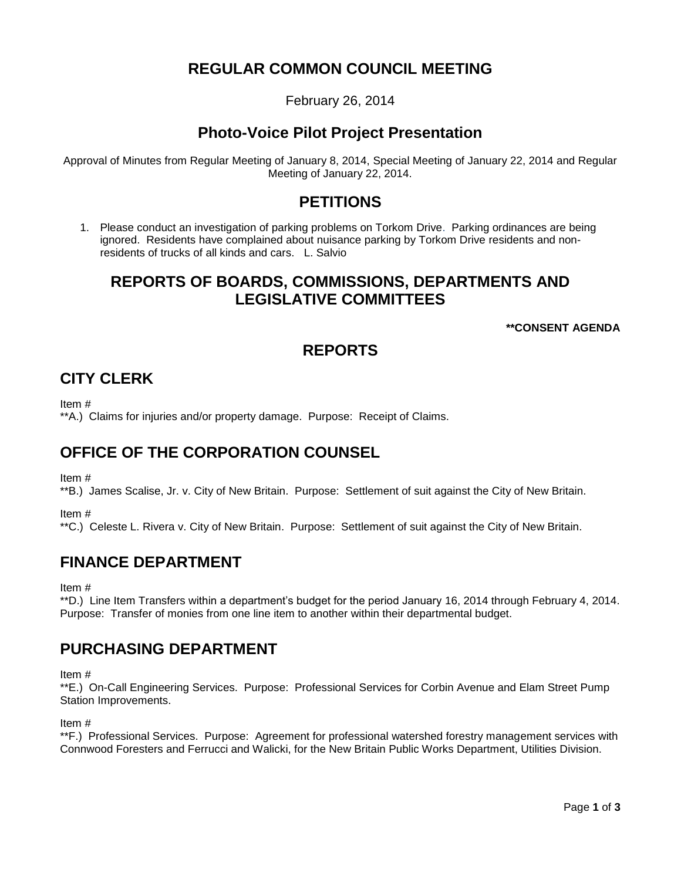## **REGULAR COMMON COUNCIL MEETING**

February 26, 2014

## **Photo-Voice Pilot Project Presentation**

Approval of Minutes from Regular Meeting of January 8, 2014, Special Meeting of January 22, 2014 and Regular Meeting of January 22, 2014.

### **PETITIONS**

1. Please conduct an investigation of parking problems on Torkom Drive. Parking ordinances are being ignored. Residents have complained about nuisance parking by Torkom Drive residents and nonresidents of trucks of all kinds and cars. L. Salvio

## **REPORTS OF BOARDS, COMMISSIONS, DEPARTMENTS AND LEGISLATIVE COMMITTEES**

**\*\*CONSENT AGENDA**

# **REPORTS**

## **CITY CLERK**

Item #

\*\*A.) Claims for injuries and/or property damage. Purpose: Receipt of Claims.

## **OFFICE OF THE CORPORATION COUNSEL**

Item #

\*\*B.) James Scalise, Jr. v. City of New Britain. Purpose: Settlement of suit against the City of New Britain.

Item #

\*\*C.) Celeste L. Rivera v. City of New Britain. Purpose: Settlement of suit against the City of New Britain.

### **FINANCE DEPARTMENT**

Item #

\*\*D.) Line Item Transfers within a department's budget for the period January 16, 2014 through February 4, 2014. Purpose: Transfer of monies from one line item to another within their departmental budget.

### **PURCHASING DEPARTMENT**

Item #

\*\*E.) On-Call Engineering Services. Purpose: Professional Services for Corbin Avenue and Elam Street Pump Station Improvements.

Item #

\*\*F.) Professional Services. Purpose: Agreement for professional watershed forestry management services with Connwood Foresters and Ferrucci and Walicki, for the New Britain Public Works Department, Utilities Division.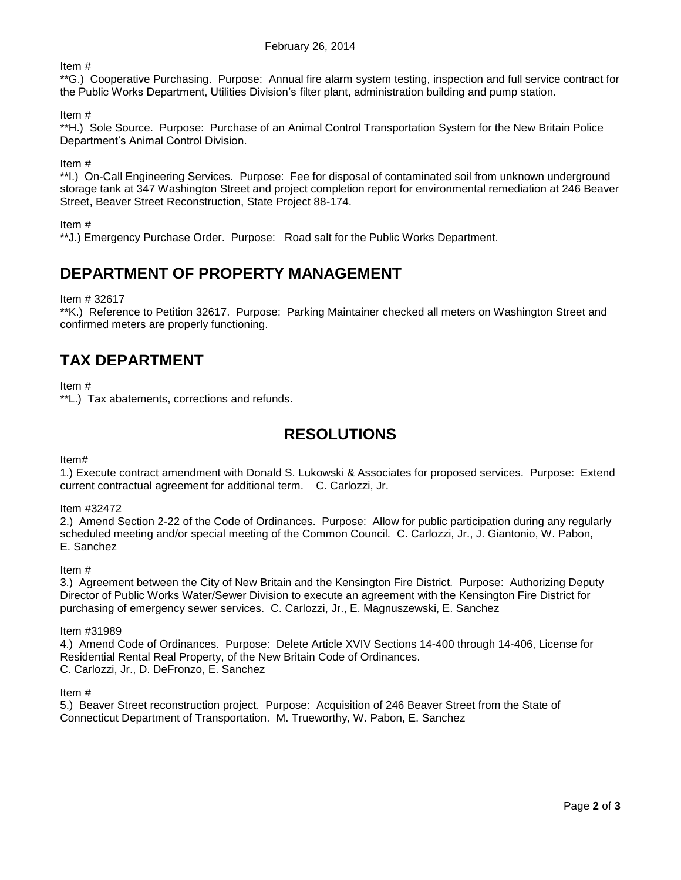Item #

\*\*G.) Cooperative Purchasing. Purpose: Annual fire alarm system testing, inspection and full service contract for the Public Works Department, Utilities Division's filter plant, administration building and pump station.

Item #

\*\*H.) Sole Source. Purpose: Purchase of an Animal Control Transportation System for the New Britain Police Department's Animal Control Division.

Item #

\*\*I.) On-Call Engineering Services. Purpose: Fee for disposal of contaminated soil from unknown underground storage tank at 347 Washington Street and project completion report for environmental remediation at 246 Beaver Street, Beaver Street Reconstruction, State Project 88-174.

#### Item #

\*\*J.) Emergency Purchase Order. Purpose: Road salt for the Public Works Department.

## **DEPARTMENT OF PROPERTY MANAGEMENT**

Item # 32617

\*\*K.) Reference to Petition 32617. Purpose: Parking Maintainer checked all meters on Washington Street and confirmed meters are properly functioning.

## **TAX DEPARTMENT**

Item #

\*\*L.) Tax abatements, corrections and refunds.

### **RESOLUTIONS**

Item#

1.) Execute contract amendment with Donald S. Lukowski & Associates for proposed services. Purpose: Extend current contractual agreement for additional term. C. Carlozzi, Jr.

#### Item #32472

2.) Amend Section 2-22 of the Code of Ordinances. Purpose: Allow for public participation during any regularly scheduled meeting and/or special meeting of the Common Council. C. Carlozzi, Jr., J. Giantonio, W. Pabon, E. Sanchez

Item #

3.) Agreement between the City of New Britain and the Kensington Fire District. Purpose: Authorizing Deputy Director of Public Works Water/Sewer Division to execute an agreement with the Kensington Fire District for purchasing of emergency sewer services. C. Carlozzi, Jr., E. Magnuszewski, E. Sanchez

Item #31989

4.) Amend Code of Ordinances. Purpose: Delete Article XVIV Sections 14-400 through 14-406, License for Residential Rental Real Property, of the New Britain Code of Ordinances. C. Carlozzi, Jr., D. DeFronzo, E. Sanchez

Item #

5.) Beaver Street reconstruction project. Purpose: Acquisition of 246 Beaver Street from the State of Connecticut Department of Transportation. M. Trueworthy, W. Pabon, E. Sanchez